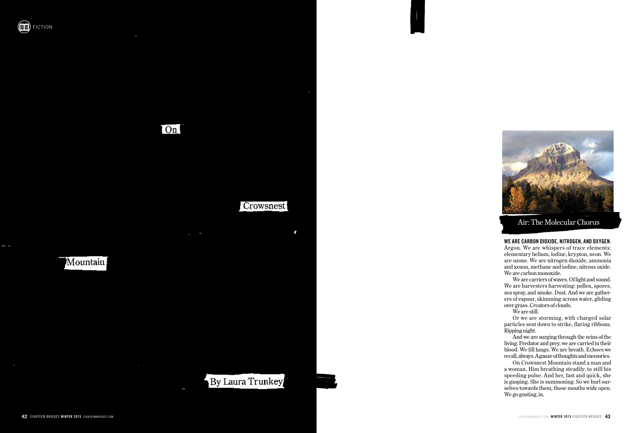$\overline{\text{I}}$  On  $\overline{\text{I}}$ 

# Mountain



Crowsnest

п





Air: The Molecular Chorus

#### **W e are ca rbo n d iox d e, nitrogen, a nd oxygen. i**

Argon. We are whispers of trace elements: elementary helium, iodine, krypton, neon. We are ozone. We are nitrogen dioxide, ammonia and xenon, methane and iodine, nitrous oxide. We are carbon monoxide.

We are carriers of waves. Of light and sound. We are harvesters harvesting: pollen, spores, sea spray, and smoke. Dust. And we are gather ers of vapour, skimming across water, gliding over grass. Creators of clouds.

We are still.

Or we are storming, with charged solar particles sent down to strike, flaring ribbons. Ripping night.

And we are surging through the veins of the living. Predator and prey, we are carried in their blood. We fill lungs. We are breath. Echoes we recall, always. A gauze of thoughts and memories.

On Crowsnest Mountain stand a man and a woman. Him breathing steadily, to still his speeding pulse. And her, fast and quick, she is gasping. She is summoning. So we hurl our selves towards them, those mouths wide open. We go gusting, in.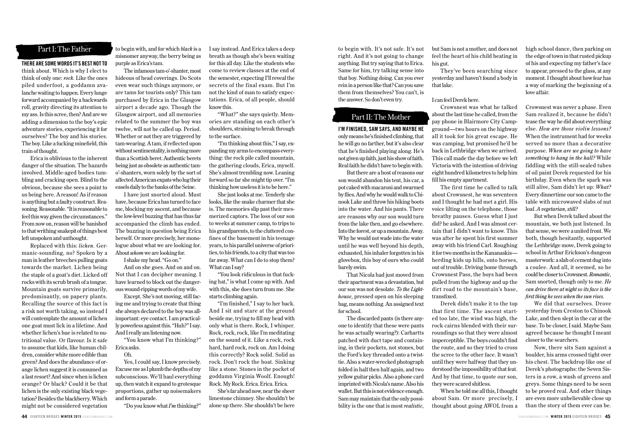## Part I: The Father

## **There are somewords it's best notto** think about. Which is why I elect to think of only one: *rock.* Like the ones piled underfoot, a goddamn avalanche waiting to happen. Every lunge forward accompanied by a backwards roll, gravity directing its attention to my ass. Is this scree, then? And are we adding a dimension to the boy's epic adventure stories, experiencing it for ourselves? The boy and his stories. The boy. Like a fucking minefield, this train of thought.

Erica is oblivious to the inherent danger of the situation. The hazards involved. Middle-aged bodies tumbling and cracking open. Blind to the obvious, because she sees a point to us being here. A reason! As if reason is anything but a faulty construct. Reasoning. Reasonable. "It is reasonable to feel this way given the circumstances." From now on, reason will be banished to that writhing snakepit of things best left unspoken and unthought.

Replaced with this: *lichen.* Germanic-sounding, no? Spoken by a man in leather breeches pulling goats towards the market. Lichen being the staple of a goat's diet. Licked off rocks with its scrub brush of a tongue. Mountain goats survive primarily, predominantly, on papery plants. Recalling the source of this fact is a risk not worth taking, so instead I will contemplate the amount of lichen one goat must lick in a lifetime. And whether lichen's hue is related to nutritional value. Or flavour. Is it safe to assume that kids, like human children, consider white more edible than green? And does the abundance of orange lichen suggest it is consumed as a last resort? And since when is lichen orange? Or black? Could it be that lichen is the only existing black vegetation? Besides the blackberry. Which might not be considered vegetation

to begin with, and for which *black* is a misnomer anyway, the berry being as purple as Erica's tam.

The infamous tam-o'-shanter, most hideous of head coverings. Do Scots even wear such things anymore, or are tams for tourists only? This tam purchased by Erica in the Glasgow airport a decade ago. Though the Glasgow airport, and all memories related to the summer the boy was twelve, will not be called up. Period. Whether or not they are triggered by tam-wearing. A tam, if reflected upon without sentimentality, is nothing more than a Scottish beret. Authentic berets being just as obsolete as authentic tamo'-shanters, worn solely by the sort of affected American expats who lug their easels daily to the banks of the Seine.

I have just snorted aloud. Must have, because Erica has turned to face me, blocking my ascent, and because the low-level buzzing that has thus far accompanied the climb has ended. The buzzing in question being Erica herself. Or more precisely, her monologue about what we are looking for. About *whom* we are looking for. I shake my head. "Go on."

And on she goes. And on and on. Not that I can decipher meaning. I have learned to block out the dangerous wound-ripping words of my wife.

Except. She's not moving, still facing me and trying to create that thing she always declared to the boy was allimportant: eye contact. I am practically powerless against this. "Huh?" I say. And I really am listening now.

"You know what I'm thinking?" Erica asks.

Oh.

Yes, I could say, I know precisely. Excuse me as I plumb the depths of my subconscious. We'll haul everything up, then watch it expand to grotesque proportions, gather up noisemakers and form a parade.

"Do you know what *I'm* thinking?"

I say instead. And Erica takes a deep breath as though she's been waiting for this all day. Like the students who come to review classes at the end of the semester, expecting I'll reveal the secrets of the final exam. But I'm not the kind of man to satisfy expectations. Erica, of all people, should know this.

"What?" she says quietly. Memories are standing on each other's shoulders, straining to break through to the surface.

"I'm thinking about this," I say, expanding my arms to encompass everything: the rock pile called mountain, the gathering clouds, Erica, myself. She's almost trembling now. Leaning forward so far she might tip over. "I'm thinking how useless it is to be here."

She just looks at me. Tenderly she looks, like the snake charmer that she is. The memories slip past their mesmerized captors. The loss of our son to weeks at summer camp, to trips to his grandparents, to the cluttered confines of the basement in his teenage years, to his parallel universe of priorities, to his friends, to a city that was too far away. What can I do to stop them? What can I say?

"You look ridiculous in that fucking hat," is what I come up with. And with this, she does turn from me. She starts climbing again.

"I'm finished," I say to her back. And I sit and stare at the ground beside me, trying to fill my head with only what is there. Rock, I whisper. Rock, rock, rock, like I'm meditating on the sound of it. Like a rock, rock hard, hard rock, rock on. Am I doing this correctly? Rock solid. Solid as rock. Don't rock the boat. Sinking like a stone. Stones in the pocket of goddamn Virginia Woolf. Enough! Rock. My Rock. Erica. Erica. Erica.

She's far ahead now, near the sheer limestone chimney. She shouldn't be alone up there. She shouldn't be here to begin with. It's not safe. It's not right. And it's not going to change anything. But try saying that to Erica. Same for him, try talking sense into that boy. Nothing doing. Can you ever rein in a person like that? Can you save them from themselves? You can't, is the answer. So don't even try.

## Part II: The Mother

**I'm finished, Sam says, and maybe he** only means he's finished climbing, that he will go no farther, but it's also clear that he's finished playing along. He's not given up faith, just his show of faith. Real faith he didn't have to begin with.

But there are a host of reasons our son would abandon his tent, his car, a pot caked with macaroni and swarmed by flies. And why he would walk to Chinook Lake and throw his hiking boots into the water. And his pants. There are reasons why our son would turn from the lake then, and go elsewhere. Into the forest, or up a mountain. Away. Why he would not wade into the water until he was well beyond his depth, exhausted, his inhaler forgotten in his glovebox, this boy of ours who could barely swim.

That Nicola had just moved from their apartment was a devastation, but our son was not desolate. *To the Lighthouse,* pressed open on his sleeping bag, means nothing. An assigned text for school.

The discarded pants (is there anyone to identify that these were pants he was actually wearing?): Carhartts patched with duct tape and containing, in their pockets, not stones, but the Ford's key threaded onto a twisttie. Also a water-wrecked photograph folded in half then half again, and two yellow guitar picks. Also a phone card imprinted with Nicola's name. Also his wallet. But this is not evidence enough. Sam may maintain that the only possibility is the one that is most *realistic,*  but Sam is not a mother, and does not feel the heart of his child beating in his gut.

They've been searching since yesterday and haven't found a body in that lake.

#### I can feel Derek here.

Crowsnest was what he talked about the last time he called, from the pay phone in Blairmore City Campground—two hours on the highway all it took for his great escape. He was camping, but promised he'd be back in Lethbridge when we arrived. This call made the day before we left Victoria with the intention of driving eight hundred kilometres to help him fill his empty apartment.

The first time he called to talk about Crowsnest, he was seventeen and I thought he had met a girl. His voice lilting on the telephone, those breathy pauses. Guess what I just did? he asked. And I was almost certain that I didn't want to know. This was after he spent his first summer away with his friend Carl. Roughing it for two months in the Kananaskis herding kids up hills, onto horses, out of trouble. Driving home through Crowsnest Pass, the boys had been pulled from the highway and up the dirt road to the mountain's base, transfixed.

Derek didn't make it to the top that first time. The ascent started too late, the wind was high, the rock cairns blended with their surroundings so that they were almost imperceptible. The boys couldn't find the route, and so they tried to cross the scree to the other face. It wasn't until they were halfway that they understood the impossibility of that feat. And by that time, to quote our son, they were scared shitless.

When he told me all this, I thought about Sam. Or more precisely, I thought about going AWOL from a

high school dance, then parking on the edge of town in that rusted pickup of his and expecting my father's face to appear, pressed to the glass, at any moment. I thought about how fear has a way of marking the beginning of a love affair.

Crowsnest was never a phase. Even Sam realized it, because he didn't tease the way he did about everything else. *How are those violin lessons?* When the instrument had for weeks served no more than a decorative purpose. *When are we going to have something to hang in the hall?* While fiddling with the still-sealed tubes of oil paint Derek requested for his birthday. Even when the spark was still alive, Sam didn't let up: *What?* Every dinnertime our son came to the table with microwaved slabs of nut loaf. *A vegetarian, still?*

But when Derek talked about the mountain, we both just listened. In that sense, we were a united front. We both, though hesitantly, supported the Lethbridge move, Derek going to school in Arthur Erickson's dungeon masterwork: a slab of cement dug into a coulee. And all, it seemed, so he could be closer to Crowsnest. *Romantic,* Sam snorted, though only to me. *He can drive there at night so its face is the first thing he sees when the sun rises.*

We did that ourselves. Drove yesterday from Creston to Chinook Lake, and then slept in the car at the base. To be closer, I said. Maybe Sam agreed because he thought I meant closer to the searchers.

Now, there sits Sam against a boulder, his arms crossed tight over his chest. The backdrop like one of Derek's photographs: the Seven Sisters in a row, a wash of greens and greys. Some things need to be seen to be proved real. And other things are even more unbelievable close up than the story of them ever can be.